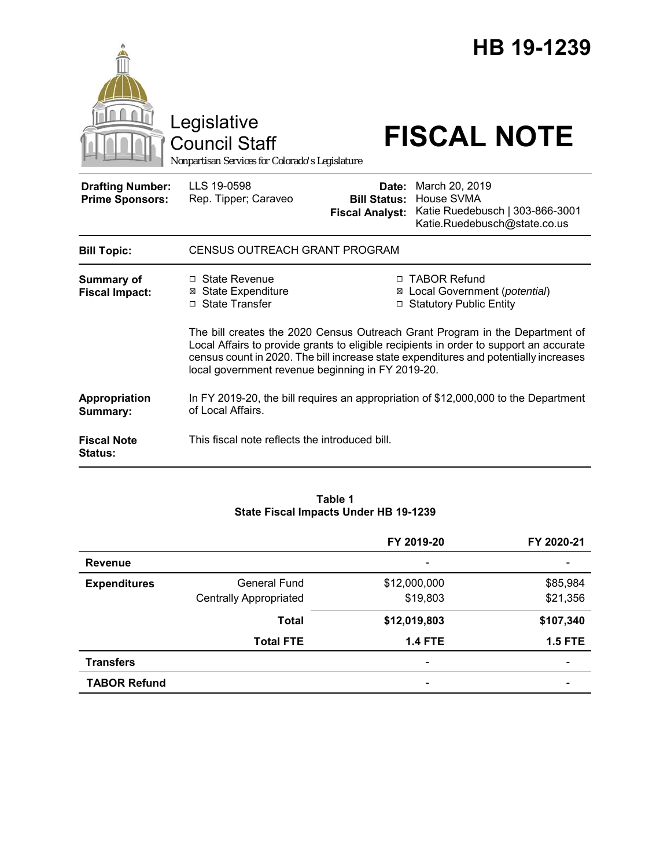

#### **Table 1 State Fiscal Impacts Under HB 19-1239**

|                     |                               | FY 2019-20               | FY 2020-21     |
|---------------------|-------------------------------|--------------------------|----------------|
| <b>Revenue</b>      |                               | -                        |                |
| <b>Expenditures</b> | <b>General Fund</b>           | \$12,000,000             | \$85,984       |
|                     | <b>Centrally Appropriated</b> | \$19,803                 | \$21,356       |
|                     | <b>Total</b>                  | \$12,019,803             | \$107,340      |
|                     | <b>Total FTE</b>              | <b>1.4 FTE</b>           | <b>1.5 FTE</b> |
| <b>Transfers</b>    |                               | $\overline{\phantom{0}}$ |                |
| <b>TABOR Refund</b> |                               | -                        |                |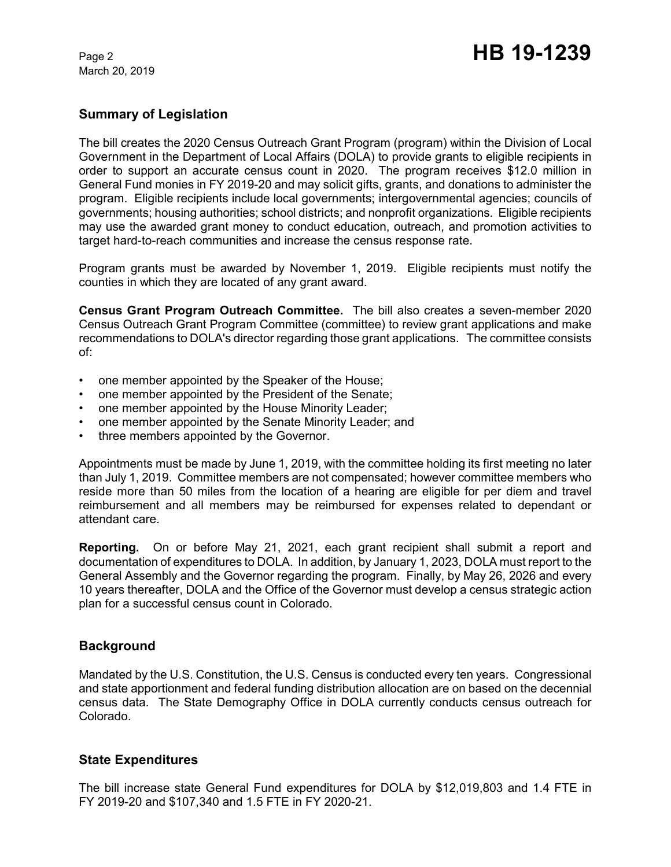March 20, 2019

# **Summary of Legislation**

The bill creates the 2020 Census Outreach Grant Program (program) within the Division of Local Government in the Department of Local Affairs (DOLA) to provide grants to eligible recipients in order to support an accurate census count in 2020. The program receives \$12.0 million in General Fund monies in FY 2019-20 and may solicit gifts, grants, and donations to administer the program. Eligible recipients include local governments; intergovernmental agencies; councils of governments; housing authorities; school districts; and nonprofit organizations. Eligible recipients may use the awarded grant money to conduct education, outreach, and promotion activities to target hard-to-reach communities and increase the census response rate.

Program grants must be awarded by November 1, 2019. Eligible recipients must notify the counties in which they are located of any grant award.

**Census Grant Program Outreach Committee.** The bill also creates a seven-member 2020 Census Outreach Grant Program Committee (committee) to review grant applications and make recommendations to DOLA's director regarding those grant applications. The committee consists of:

- one member appointed by the Speaker of the House;
- one member appointed by the President of the Senate;
- one member appointed by the House Minority Leader;
- one member appointed by the Senate Minority Leader; and
- three members appointed by the Governor.

Appointments must be made by June 1, 2019, with the committee holding its first meeting no later than July 1, 2019. Committee members are not compensated; however committee members who reside more than 50 miles from the location of a hearing are eligible for per diem and travel reimbursement and all members may be reimbursed for expenses related to dependant or attendant care.

**Reporting.** On or before May 21, 2021, each grant recipient shall submit a report and documentation of expenditures to DOLA. In addition, by January 1, 2023, DOLA must report to the General Assembly and the Governor regarding the program. Finally, by May 26, 2026 and every 10 years thereafter, DOLA and the Office of the Governor must develop a census strategic action plan for a successful census count in Colorado.

## **Background**

Mandated by the U.S. Constitution, the U.S. Census is conducted every ten years. Congressional and state apportionment and federal funding distribution allocation are on based on the decennial census data. The State Demography Office in DOLA currently conducts census outreach for Colorado.

## **State Expenditures**

The bill increase state General Fund expenditures for DOLA by \$12,019,803 and 1.4 FTE in FY 2019-20 and \$107,340 and 1.5 FTE in FY 2020-21.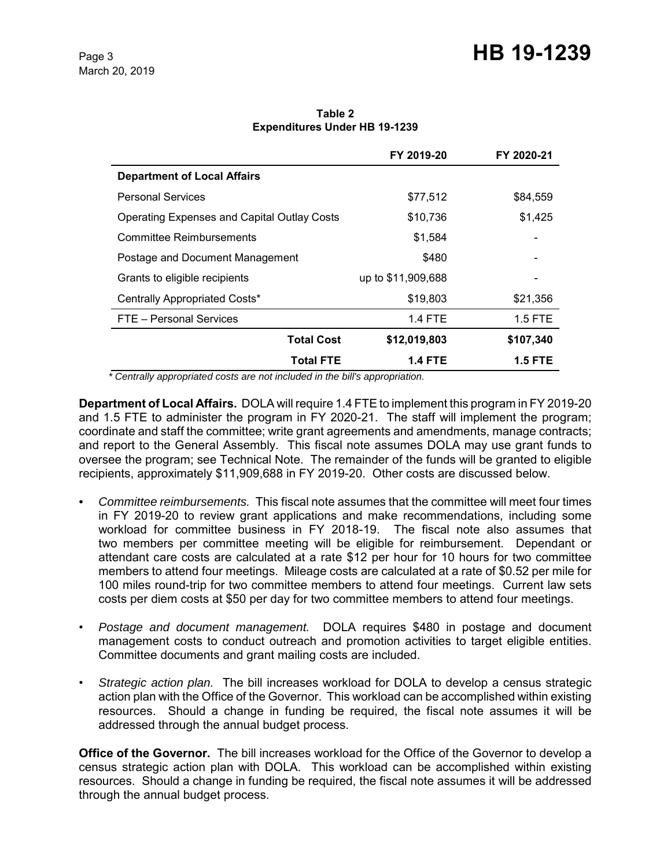# Page 3 **HB 19-1239**

**Table 2 Expenditures Under HB 19-1239**

|                                                    | FY 2019-20         | FY 2020-21 |
|----------------------------------------------------|--------------------|------------|
| <b>Department of Local Affairs</b>                 |                    |            |
| <b>Personal Services</b>                           | \$77,512           | \$84,559   |
| <b>Operating Expenses and Capital Outlay Costs</b> | \$10,736           | \$1,425    |
| <b>Committee Reimbursements</b>                    | \$1,584            |            |
| Postage and Document Management                    | \$480              |            |
| Grants to eligible recipients                      | up to \$11,909,688 |            |
| Centrally Appropriated Costs*                      | \$19,803           | \$21,356   |
| FTE - Personal Services                            | <b>1.4 FTE</b>     | $1.5$ FTE  |
| <b>Total Cost</b>                                  | \$12,019,803       | \$107,340  |
| <b>Total FTE</b>                                   | 1.4 FTE            | 1.5 FTE    |

 *\* Centrally appropriated costs are not included in the bill's appropriation.*

**Department of Local Affairs.** DOLA will require 1.4 FTE to implement this program in FY 2019-20 and 1.5 FTE to administer the program in FY 2020-21. The staff will implement the program; coordinate and staff the committee; write grant agreements and amendments, manage contracts; and report to the General Assembly. This fiscal note assumes DOLA may use grant funds to oversee the program; see Technical Note. The remainder of the funds will be granted to eligible recipients, approximately \$11,909,688 in FY 2019-20. Other costs are discussed below.

- *Committee reimbursements.*This fiscal note assumes that the committee will meet four times in FY 2019-20 to review grant applications and make recommendations, including some workload for committee business in FY 2018-19. The fiscal note also assumes that two members per committee meeting will be eligible for reimbursement. Dependant or attendant care costs are calculated at a rate \$12 per hour for 10 hours for two committee members to attend four meetings. Mileage costs are calculated at a rate of \$0.52 per mile for 100 miles round-trip for two committee members to attend four meetings. Current law sets costs per diem costs at \$50 per day for two committee members to attend four meetings.
- *Postage and document management.* DOLA requires \$480 in postage and document management costs to conduct outreach and promotion activities to target eligible entities. Committee documents and grant mailing costs are included.
- *Strategic action plan.* The bill increases workload for DOLA to develop a census strategic action plan with the Office of the Governor. This workload can be accomplished within existing resources. Should a change in funding be required, the fiscal note assumes it will be addressed through the annual budget process.

**Office of the Governor.** The bill increases workload for the Office of the Governor to develop a census strategic action plan with DOLA. This workload can be accomplished within existing resources. Should a change in funding be required, the fiscal note assumes it will be addressed through the annual budget process.